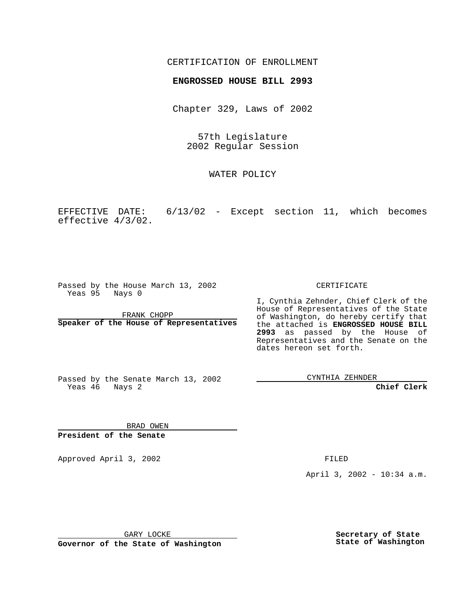## CERTIFICATION OF ENROLLMENT

## **ENGROSSED HOUSE BILL 2993**

Chapter 329, Laws of 2002

57th Legislature 2002 Regular Session

WATER POLICY

EFFECTIVE DATE: 6/13/02 - Except section 11, which becomes effective 4/3/02.

Passed by the House March 13, 2002 Yeas 95 Nays 0

FRANK CHOPP **Speaker of the House of Representatives** CERTIFICATE

I, Cynthia Zehnder, Chief Clerk of the House of Representatives of the State of Washington, do hereby certify that the attached is **ENGROSSED HOUSE BILL 2993** as passed by the House of Representatives and the Senate on the dates hereon set forth.

Passed by the Senate March 13, 2002 Yeas 46 Nays 2

CYNTHIA ZEHNDER

**Chief Clerk**

BRAD OWEN **President of the Senate**

Approved April 3, 2002 FILED

April 3, 2002 - 10:34 a.m.

GARY LOCKE

**Governor of the State of Washington**

**Secretary of State State of Washington**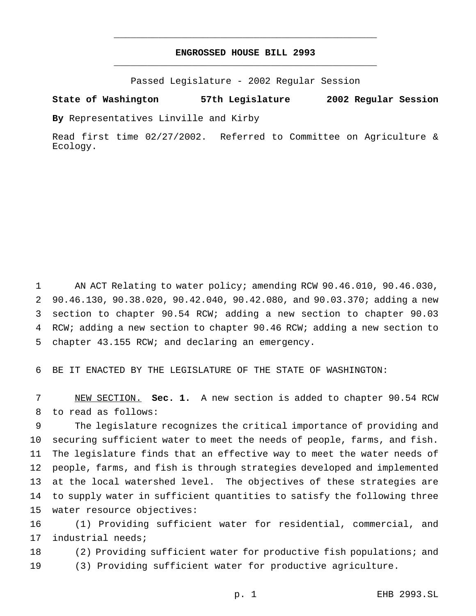## **ENGROSSED HOUSE BILL 2993** \_\_\_\_\_\_\_\_\_\_\_\_\_\_\_\_\_\_\_\_\_\_\_\_\_\_\_\_\_\_\_\_\_\_\_\_\_\_\_\_\_\_\_\_\_\_\_

\_\_\_\_\_\_\_\_\_\_\_\_\_\_\_\_\_\_\_\_\_\_\_\_\_\_\_\_\_\_\_\_\_\_\_\_\_\_\_\_\_\_\_\_\_\_\_

Passed Legislature - 2002 Regular Session

**State of Washington 57th Legislature 2002 Regular Session**

**By** Representatives Linville and Kirby

Read first time 02/27/2002. Referred to Committee on Agriculture & Ecology.

1 AN ACT Relating to water policy; amending RCW 90.46.010, 90.46.030, 90.46.130, 90.38.020, 90.42.040, 90.42.080, and 90.03.370; adding a new section to chapter 90.54 RCW; adding a new section to chapter 90.03 RCW; adding a new section to chapter 90.46 RCW; adding a new section to chapter 43.155 RCW; and declaring an emergency.

BE IT ENACTED BY THE LEGISLATURE OF THE STATE OF WASHINGTON:

 NEW SECTION. **Sec. 1.** A new section is added to chapter 90.54 RCW to read as follows:

 The legislature recognizes the critical importance of providing and securing sufficient water to meet the needs of people, farms, and fish. The legislature finds that an effective way to meet the water needs of people, farms, and fish is through strategies developed and implemented at the local watershed level. The objectives of these strategies are to supply water in sufficient quantities to satisfy the following three water resource objectives:

 (1) Providing sufficient water for residential, commercial, and industrial needs;

 (2) Providing sufficient water for productive fish populations; and (3) Providing sufficient water for productive agriculture.

p. 1 EHB 2993.SL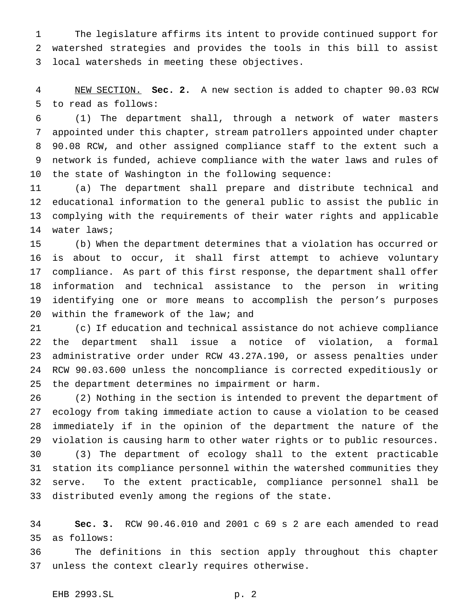The legislature affirms its intent to provide continued support for watershed strategies and provides the tools in this bill to assist local watersheds in meeting these objectives.

 NEW SECTION. **Sec. 2.** A new section is added to chapter 90.03 RCW to read as follows:

 (1) The department shall, through a network of water masters appointed under this chapter, stream patrollers appointed under chapter 90.08 RCW, and other assigned compliance staff to the extent such a network is funded, achieve compliance with the water laws and rules of the state of Washington in the following sequence:

 (a) The department shall prepare and distribute technical and educational information to the general public to assist the public in complying with the requirements of their water rights and applicable water laws;

 (b) When the department determines that a violation has occurred or is about to occur, it shall first attempt to achieve voluntary compliance. As part of this first response, the department shall offer information and technical assistance to the person in writing identifying one or more means to accomplish the person's purposes within the framework of the law; and

 (c) If education and technical assistance do not achieve compliance the department shall issue a notice of violation, a formal administrative order under RCW 43.27A.190, or assess penalties under RCW 90.03.600 unless the noncompliance is corrected expeditiously or the department determines no impairment or harm.

 (2) Nothing in the section is intended to prevent the department of ecology from taking immediate action to cause a violation to be ceased immediately if in the opinion of the department the nature of the violation is causing harm to other water rights or to public resources. (3) The department of ecology shall to the extent practicable station its compliance personnel within the watershed communities they serve. To the extent practicable, compliance personnel shall be distributed evenly among the regions of the state.

 **Sec. 3.** RCW 90.46.010 and 2001 c 69 s 2 are each amended to read as follows:

 The definitions in this section apply throughout this chapter unless the context clearly requires otherwise.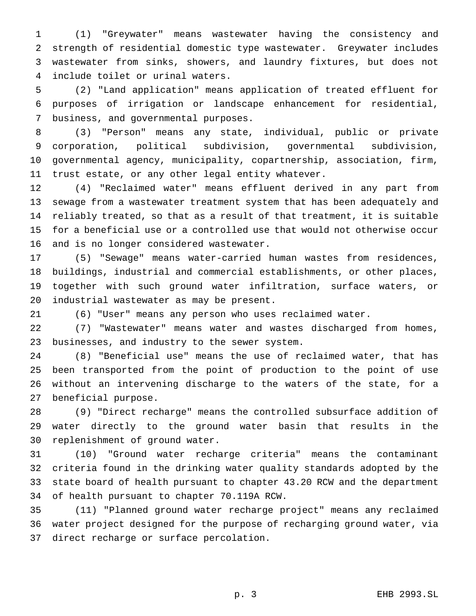(1) "Greywater" means wastewater having the consistency and strength of residential domestic type wastewater. Greywater includes wastewater from sinks, showers, and laundry fixtures, but does not include toilet or urinal waters.

 (2) "Land application" means application of treated effluent for purposes of irrigation or landscape enhancement for residential, business, and governmental purposes.

 (3) "Person" means any state, individual, public or private corporation, political subdivision, governmental subdivision, governmental agency, municipality, copartnership, association, firm, trust estate, or any other legal entity whatever.

 (4) "Reclaimed water" means effluent derived in any part from sewage from a wastewater treatment system that has been adequately and reliably treated, so that as a result of that treatment, it is suitable for a beneficial use or a controlled use that would not otherwise occur and is no longer considered wastewater.

 (5) "Sewage" means water-carried human wastes from residences, buildings, industrial and commercial establishments, or other places, together with such ground water infiltration, surface waters, or industrial wastewater as may be present.

(6) "User" means any person who uses reclaimed water.

 (7) "Wastewater" means water and wastes discharged from homes, businesses, and industry to the sewer system.

 (8) "Beneficial use" means the use of reclaimed water, that has been transported from the point of production to the point of use without an intervening discharge to the waters of the state, for a beneficial purpose.

 (9) "Direct recharge" means the controlled subsurface addition of water directly to the ground water basin that results in the replenishment of ground water.

 (10) "Ground water recharge criteria" means the contaminant criteria found in the drinking water quality standards adopted by the state board of health pursuant to chapter 43.20 RCW and the department of health pursuant to chapter 70.119A RCW.

 (11) "Planned ground water recharge project" means any reclaimed water project designed for the purpose of recharging ground water, via direct recharge or surface percolation.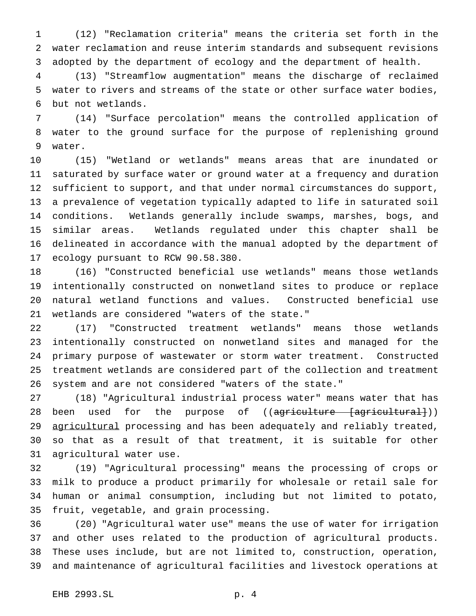(12) "Reclamation criteria" means the criteria set forth in the water reclamation and reuse interim standards and subsequent revisions adopted by the department of ecology and the department of health.

 (13) "Streamflow augmentation" means the discharge of reclaimed water to rivers and streams of the state or other surface water bodies, but not wetlands.

 (14) "Surface percolation" means the controlled application of water to the ground surface for the purpose of replenishing ground water.

 (15) "Wetland or wetlands" means areas that are inundated or saturated by surface water or ground water at a frequency and duration sufficient to support, and that under normal circumstances do support, a prevalence of vegetation typically adapted to life in saturated soil conditions. Wetlands generally include swamps, marshes, bogs, and similar areas. Wetlands regulated under this chapter shall be delineated in accordance with the manual adopted by the department of ecology pursuant to RCW 90.58.380.

 (16) "Constructed beneficial use wetlands" means those wetlands intentionally constructed on nonwetland sites to produce or replace natural wetland functions and values. Constructed beneficial use wetlands are considered "waters of the state."

 (17) "Constructed treatment wetlands" means those wetlands intentionally constructed on nonwetland sites and managed for the primary purpose of wastewater or storm water treatment. Constructed treatment wetlands are considered part of the collection and treatment system and are not considered "waters of the state."

 (18) "Agricultural industrial process water" means water that has 28 been used for the purpose of ((<del>agriculture [agricultural]</del>)) 29 agricultural processing and has been adequately and reliably treated, so that as a result of that treatment, it is suitable for other agricultural water use.

 (19) "Agricultural processing" means the processing of crops or milk to produce a product primarily for wholesale or retail sale for human or animal consumption, including but not limited to potato, fruit, vegetable, and grain processing.

 (20) "Agricultural water use" means the use of water for irrigation and other uses related to the production of agricultural products. These uses include, but are not limited to, construction, operation, and maintenance of agricultural facilities and livestock operations at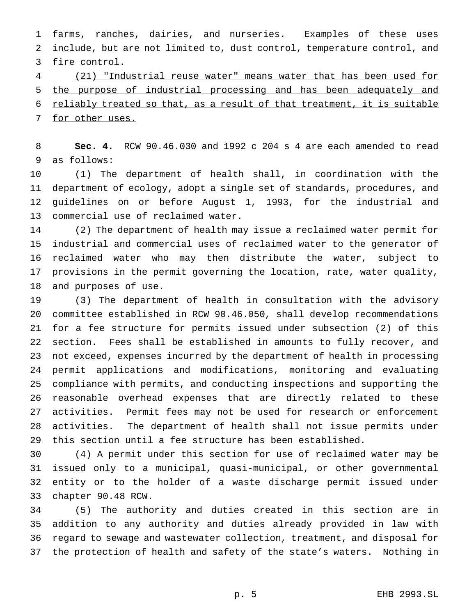farms, ranches, dairies, and nurseries. Examples of these uses include, but are not limited to, dust control, temperature control, and fire control.

 (21) "Industrial reuse water" means water that has been used for the purpose of industrial processing and has been adequately and 6 reliably treated so that, as a result of that treatment, it is suitable 7 for other uses.

 **Sec. 4.** RCW 90.46.030 and 1992 c 204 s 4 are each amended to read as follows:

 (1) The department of health shall, in coordination with the department of ecology, adopt a single set of standards, procedures, and guidelines on or before August 1, 1993, for the industrial and commercial use of reclaimed water.

 (2) The department of health may issue a reclaimed water permit for industrial and commercial uses of reclaimed water to the generator of reclaimed water who may then distribute the water, subject to provisions in the permit governing the location, rate, water quality, and purposes of use.

 (3) The department of health in consultation with the advisory committee established in RCW 90.46.050, shall develop recommendations for a fee structure for permits issued under subsection (2) of this section. Fees shall be established in amounts to fully recover, and not exceed, expenses incurred by the department of health in processing permit applications and modifications, monitoring and evaluating compliance with permits, and conducting inspections and supporting the reasonable overhead expenses that are directly related to these activities. Permit fees may not be used for research or enforcement activities. The department of health shall not issue permits under this section until a fee structure has been established.

 (4) A permit under this section for use of reclaimed water may be issued only to a municipal, quasi-municipal, or other governmental entity or to the holder of a waste discharge permit issued under chapter 90.48 RCW.

 (5) The authority and duties created in this section are in addition to any authority and duties already provided in law with regard to sewage and wastewater collection, treatment, and disposal for the protection of health and safety of the state's waters. Nothing in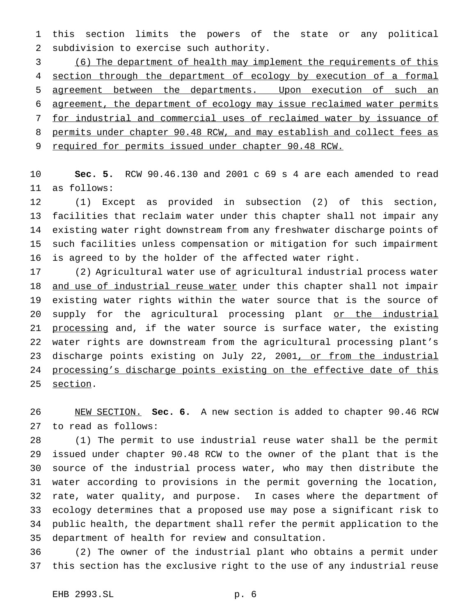this section limits the powers of the state or any political subdivision to exercise such authority.

 (6) The department of health may implement the requirements of this 4 section through the department of ecology by execution of a formal agreement between the departments. Upon execution of such an agreement, the department of ecology may issue reclaimed water permits for industrial and commercial uses of reclaimed water by issuance of permits under chapter 90.48 RCW, and may establish and collect fees as required for permits issued under chapter 90.48 RCW.

 **Sec. 5.** RCW 90.46.130 and 2001 c 69 s 4 are each amended to read as follows:

 (1) Except as provided in subsection (2) of this section, facilities that reclaim water under this chapter shall not impair any existing water right downstream from any freshwater discharge points of such facilities unless compensation or mitigation for such impairment is agreed to by the holder of the affected water right.

 (2) Agricultural water use of agricultural industrial process water 18 and use of industrial reuse water under this chapter shall not impair existing water rights within the water source that is the source of 20 supply for the agricultural processing plant or the industrial 21 processing and, if the water source is surface water, the existing water rights are downstream from the agricultural processing plant's 23 discharge points existing on July 22, 2001, or from the industrial 24 processing's discharge points existing on the effective date of this 25 section.

 NEW SECTION. **Sec. 6.** A new section is added to chapter 90.46 RCW to read as follows:

 (1) The permit to use industrial reuse water shall be the permit issued under chapter 90.48 RCW to the owner of the plant that is the source of the industrial process water, who may then distribute the water according to provisions in the permit governing the location, rate, water quality, and purpose. In cases where the department of ecology determines that a proposed use may pose a significant risk to public health, the department shall refer the permit application to the department of health for review and consultation.

 (2) The owner of the industrial plant who obtains a permit under this section has the exclusive right to the use of any industrial reuse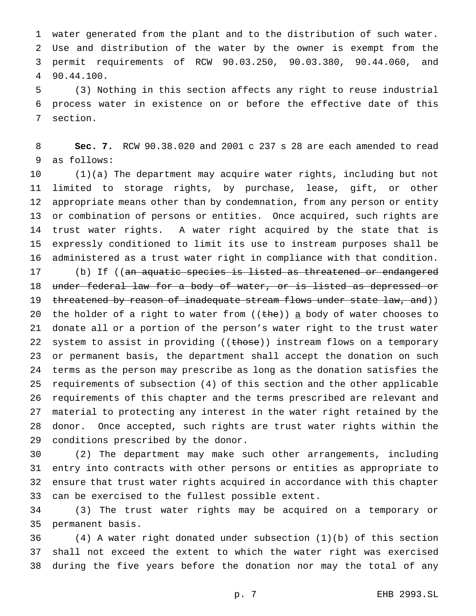water generated from the plant and to the distribution of such water. Use and distribution of the water by the owner is exempt from the permit requirements of RCW 90.03.250, 90.03.380, 90.44.060, and 90.44.100.

 (3) Nothing in this section affects any right to reuse industrial process water in existence on or before the effective date of this section.

 **Sec. 7.** RCW 90.38.020 and 2001 c 237 s 28 are each amended to read as follows:

 (1)(a) The department may acquire water rights, including but not limited to storage rights, by purchase, lease, gift, or other appropriate means other than by condemnation, from any person or entity or combination of persons or entities. Once acquired, such rights are trust water rights. A water right acquired by the state that is expressly conditioned to limit its use to instream purposes shall be administered as a trust water right in compliance with that condition.

17 (b) If ((an aquatic species is listed as threatened or endangered 18 under federal law for a body of water, or is listed as depressed or 19 threatened by reason of inadequate stream flows under state law, and)) 20 the holder of a right to water from  $((the h)$  a body of water chooses to donate all or a portion of the person's water right to the trust water 22 system to assist in providing ((those)) instream flows on a temporary or permanent basis, the department shall accept the donation on such terms as the person may prescribe as long as the donation satisfies the requirements of subsection (4) of this section and the other applicable requirements of this chapter and the terms prescribed are relevant and material to protecting any interest in the water right retained by the donor. Once accepted, such rights are trust water rights within the conditions prescribed by the donor.

 (2) The department may make such other arrangements, including entry into contracts with other persons or entities as appropriate to ensure that trust water rights acquired in accordance with this chapter can be exercised to the fullest possible extent.

 (3) The trust water rights may be acquired on a temporary or permanent basis.

 (4) A water right donated under subsection (1)(b) of this section shall not exceed the extent to which the water right was exercised during the five years before the donation nor may the total of any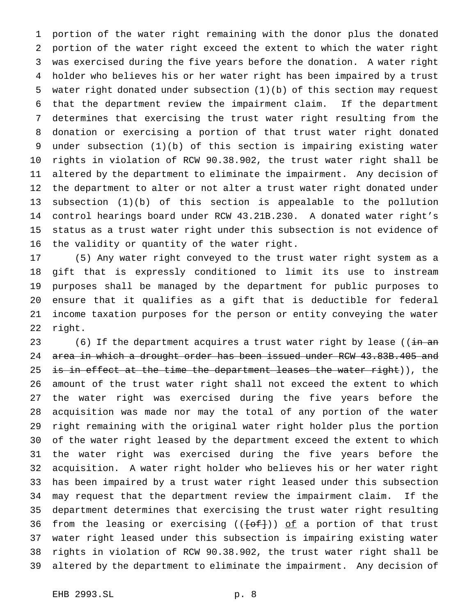portion of the water right remaining with the donor plus the donated portion of the water right exceed the extent to which the water right was exercised during the five years before the donation. A water right holder who believes his or her water right has been impaired by a trust water right donated under subsection (1)(b) of this section may request that the department review the impairment claim. If the department determines that exercising the trust water right resulting from the donation or exercising a portion of that trust water right donated under subsection (1)(b) of this section is impairing existing water rights in violation of RCW 90.38.902, the trust water right shall be altered by the department to eliminate the impairment. Any decision of the department to alter or not alter a trust water right donated under subsection (1)(b) of this section is appealable to the pollution control hearings board under RCW 43.21B.230. A donated water right's status as a trust water right under this subsection is not evidence of the validity or quantity of the water right.

 (5) Any water right conveyed to the trust water right system as a gift that is expressly conditioned to limit its use to instream purposes shall be managed by the department for public purposes to ensure that it qualifies as a gift that is deductible for federal income taxation purposes for the person or entity conveying the water right.

23 (6) If the department acquires a trust water right by lease (( $\frac{1}{2}$ m and 24 area in which a drought order has been issued under RCW 43.83B.405 and 25 is in effect at the time the department leases the water right)), the amount of the trust water right shall not exceed the extent to which the water right was exercised during the five years before the acquisition was made nor may the total of any portion of the water right remaining with the original water right holder plus the portion of the water right leased by the department exceed the extent to which the water right was exercised during the five years before the acquisition. A water right holder who believes his or her water right has been impaired by a trust water right leased under this subsection may request that the department review the impairment claim. If the department determines that exercising the trust water right resulting 36 from the leasing or exercising  $((f \circ f))$  of a portion of that trust water right leased under this subsection is impairing existing water rights in violation of RCW 90.38.902, the trust water right shall be altered by the department to eliminate the impairment. Any decision of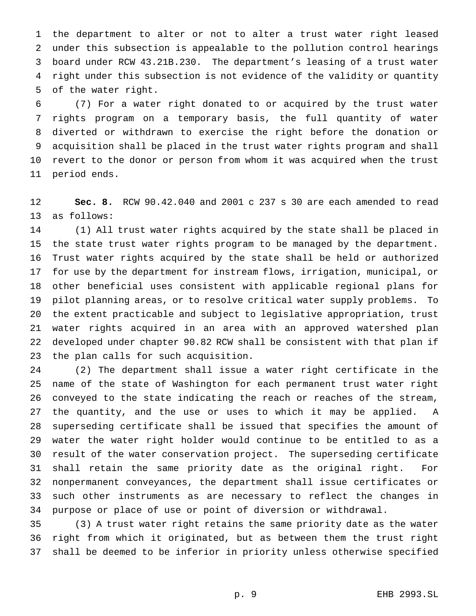the department to alter or not to alter a trust water right leased under this subsection is appealable to the pollution control hearings board under RCW 43.21B.230. The department's leasing of a trust water right under this subsection is not evidence of the validity or quantity of the water right.

 (7) For a water right donated to or acquired by the trust water rights program on a temporary basis, the full quantity of water diverted or withdrawn to exercise the right before the donation or acquisition shall be placed in the trust water rights program and shall revert to the donor or person from whom it was acquired when the trust period ends.

 **Sec. 8.** RCW 90.42.040 and 2001 c 237 s 30 are each amended to read as follows:

 (1) All trust water rights acquired by the state shall be placed in the state trust water rights program to be managed by the department. Trust water rights acquired by the state shall be held or authorized for use by the department for instream flows, irrigation, municipal, or other beneficial uses consistent with applicable regional plans for pilot planning areas, or to resolve critical water supply problems. To the extent practicable and subject to legislative appropriation, trust water rights acquired in an area with an approved watershed plan developed under chapter 90.82 RCW shall be consistent with that plan if the plan calls for such acquisition.

 (2) The department shall issue a water right certificate in the name of the state of Washington for each permanent trust water right conveyed to the state indicating the reach or reaches of the stream, the quantity, and the use or uses to which it may be applied. A superseding certificate shall be issued that specifies the amount of water the water right holder would continue to be entitled to as a result of the water conservation project. The superseding certificate shall retain the same priority date as the original right. For nonpermanent conveyances, the department shall issue certificates or such other instruments as are necessary to reflect the changes in purpose or place of use or point of diversion or withdrawal.

 (3) A trust water right retains the same priority date as the water right from which it originated, but as between them the trust right shall be deemed to be inferior in priority unless otherwise specified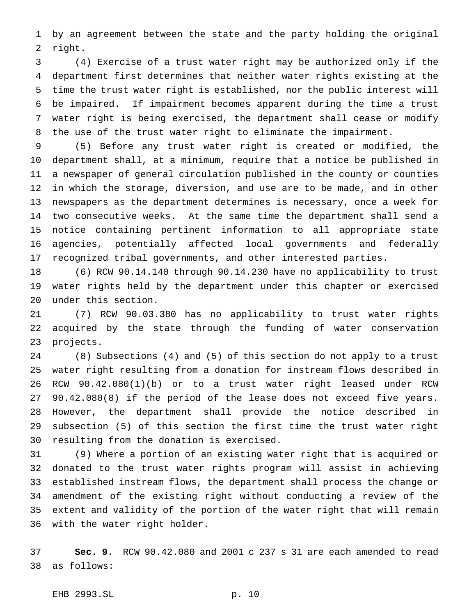by an agreement between the state and the party holding the original right.

 (4) Exercise of a trust water right may be authorized only if the department first determines that neither water rights existing at the time the trust water right is established, nor the public interest will be impaired. If impairment becomes apparent during the time a trust water right is being exercised, the department shall cease or modify the use of the trust water right to eliminate the impairment.

 (5) Before any trust water right is created or modified, the department shall, at a minimum, require that a notice be published in a newspaper of general circulation published in the county or counties in which the storage, diversion, and use are to be made, and in other newspapers as the department determines is necessary, once a week for two consecutive weeks. At the same time the department shall send a notice containing pertinent information to all appropriate state agencies, potentially affected local governments and federally recognized tribal governments, and other interested parties.

 (6) RCW 90.14.140 through 90.14.230 have no applicability to trust water rights held by the department under this chapter or exercised under this section.

 (7) RCW 90.03.380 has no applicability to trust water rights acquired by the state through the funding of water conservation projects.

 (8) Subsections (4) and (5) of this section do not apply to a trust water right resulting from a donation for instream flows described in RCW 90.42.080(1)(b) or to a trust water right leased under RCW 90.42.080(8) if the period of the lease does not exceed five years. However, the department shall provide the notice described in subsection (5) of this section the first time the trust water right resulting from the donation is exercised.

 (9) Where a portion of an existing water right that is acquired or donated to the trust water rights program will assist in achieving 33 established instream flows, the department shall process the change or amendment of the existing right without conducting a review of the 35 extent and validity of the portion of the water right that will remain 36 with the water right holder.

 **Sec. 9.** RCW 90.42.080 and 2001 c 237 s 31 are each amended to read as follows:

EHB 2993.SL p. 10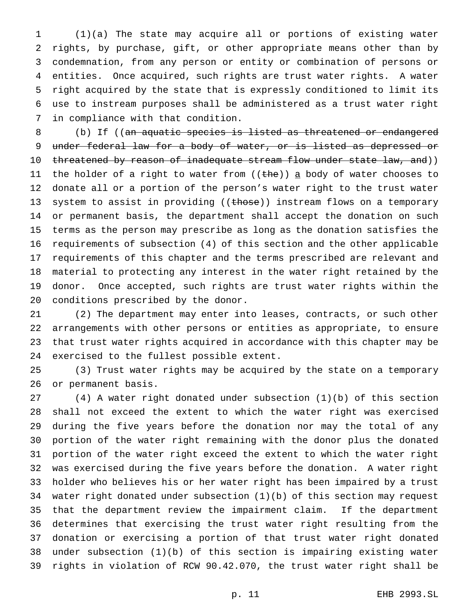(1)(a) The state may acquire all or portions of existing water rights, by purchase, gift, or other appropriate means other than by condemnation, from any person or entity or combination of persons or entities. Once acquired, such rights are trust water rights. A water right acquired by the state that is expressly conditioned to limit its use to instream purposes shall be administered as a trust water right in compliance with that condition.

 (b) If ((an aquatic species is listed as threatened or endangered 9 under federal law for a body of water, or is listed as depressed or 10 threatened by reason of inadequate stream flow under state law, and)) 11 the holder of a right to water from ((the)) a body of water chooses to donate all or a portion of the person's water right to the trust water 13 system to assist in providing ((those)) instream flows on a temporary or permanent basis, the department shall accept the donation on such terms as the person may prescribe as long as the donation satisfies the requirements of subsection (4) of this section and the other applicable requirements of this chapter and the terms prescribed are relevant and material to protecting any interest in the water right retained by the donor. Once accepted, such rights are trust water rights within the conditions prescribed by the donor.

 (2) The department may enter into leases, contracts, or such other arrangements with other persons or entities as appropriate, to ensure that trust water rights acquired in accordance with this chapter may be exercised to the fullest possible extent.

 (3) Trust water rights may be acquired by the state on a temporary or permanent basis.

 (4) A water right donated under subsection (1)(b) of this section shall not exceed the extent to which the water right was exercised during the five years before the donation nor may the total of any portion of the water right remaining with the donor plus the donated portion of the water right exceed the extent to which the water right was exercised during the five years before the donation. A water right holder who believes his or her water right has been impaired by a trust water right donated under subsection (1)(b) of this section may request that the department review the impairment claim. If the department determines that exercising the trust water right resulting from the donation or exercising a portion of that trust water right donated under subsection (1)(b) of this section is impairing existing water rights in violation of RCW 90.42.070, the trust water right shall be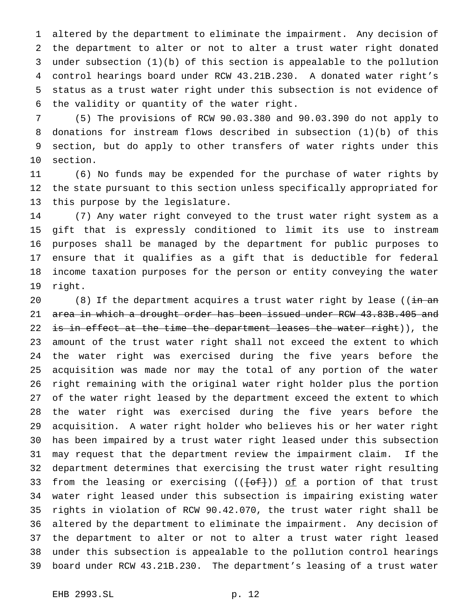altered by the department to eliminate the impairment. Any decision of the department to alter or not to alter a trust water right donated under subsection (1)(b) of this section is appealable to the pollution control hearings board under RCW 43.21B.230. A donated water right's status as a trust water right under this subsection is not evidence of the validity or quantity of the water right.

 (5) The provisions of RCW 90.03.380 and 90.03.390 do not apply to donations for instream flows described in subsection (1)(b) of this section, but do apply to other transfers of water rights under this section.

 (6) No funds may be expended for the purchase of water rights by the state pursuant to this section unless specifically appropriated for this purpose by the legislature.

 (7) Any water right conveyed to the trust water right system as a gift that is expressly conditioned to limit its use to instream purposes shall be managed by the department for public purposes to ensure that it qualifies as a gift that is deductible for federal income taxation purposes for the person or entity conveying the water right.

20 (8) If the department acquires a trust water right by lease (( $\frac{1}{10}$  and 21 area in which a drought order has been issued under RCW 43.83B.405 and 22 <del>is in effect at the time the department leases the water right</del>)), the amount of the trust water right shall not exceed the extent to which the water right was exercised during the five years before the acquisition was made nor may the total of any portion of the water right remaining with the original water right holder plus the portion of the water right leased by the department exceed the extent to which the water right was exercised during the five years before the acquisition. A water right holder who believes his or her water right has been impaired by a trust water right leased under this subsection may request that the department review the impairment claim. If the department determines that exercising the trust water right resulting 33 from the leasing or exercising  $((+o f))$  of a portion of that trust water right leased under this subsection is impairing existing water rights in violation of RCW 90.42.070, the trust water right shall be altered by the department to eliminate the impairment. Any decision of the department to alter or not to alter a trust water right leased under this subsection is appealable to the pollution control hearings board under RCW 43.21B.230. The department's leasing of a trust water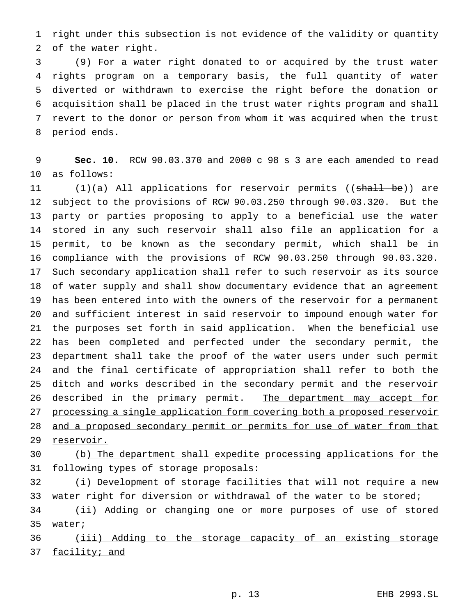right under this subsection is not evidence of the validity or quantity of the water right.

 (9) For a water right donated to or acquired by the trust water rights program on a temporary basis, the full quantity of water diverted or withdrawn to exercise the right before the donation or acquisition shall be placed in the trust water rights program and shall revert to the donor or person from whom it was acquired when the trust period ends.

 **Sec. 10.** RCW 90.03.370 and 2000 c 98 s 3 are each amended to read as follows:

11 (1)(a) All applications for reservoir permits ((shall be)) are subject to the provisions of RCW 90.03.250 through 90.03.320. But the party or parties proposing to apply to a beneficial use the water stored in any such reservoir shall also file an application for a permit, to be known as the secondary permit, which shall be in compliance with the provisions of RCW 90.03.250 through 90.03.320. Such secondary application shall refer to such reservoir as its source of water supply and shall show documentary evidence that an agreement has been entered into with the owners of the reservoir for a permanent and sufficient interest in said reservoir to impound enough water for the purposes set forth in said application. When the beneficial use has been completed and perfected under the secondary permit, the department shall take the proof of the water users under such permit and the final certificate of appropriation shall refer to both the ditch and works described in the secondary permit and the reservoir 26 described in the primary permit. The department may accept for processing a single application form covering both a proposed reservoir 28 and a proposed secondary permit or permits for use of water from that 29 reservoir.

 (b) The department shall expedite processing applications for the 31 following types of storage proposals:

 (i) Development of storage facilities that will not require a new 33 water right for diversion or withdrawal of the water to be stored;

 (ii) Adding or changing one or more purposes of use of stored 35 water;

 (iii) Adding to the storage capacity of an existing storage facility; and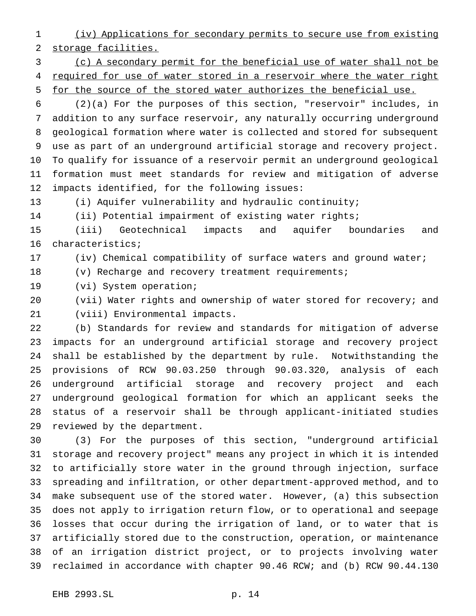(iv) Applications for secondary permits to secure use from existing storage facilities.

 (c) A secondary permit for the beneficial use of water shall not be 4 required for use of water stored in a reservoir where the water right for the source of the stored water authorizes the beneficial use.

 (2)(a) For the purposes of this section, "reservoir" includes, in addition to any surface reservoir, any naturally occurring underground geological formation where water is collected and stored for subsequent use as part of an underground artificial storage and recovery project. To qualify for issuance of a reservoir permit an underground geological formation must meet standards for review and mitigation of adverse impacts identified, for the following issues:

(i) Aquifer vulnerability and hydraulic continuity;

(ii) Potential impairment of existing water rights;

 (iii) Geotechnical impacts and aquifer boundaries and characteristics;

(iv) Chemical compatibility of surface waters and ground water;

(v) Recharge and recovery treatment requirements;

(vi) System operation;

 (vii) Water rights and ownership of water stored for recovery; and (viii) Environmental impacts.

 (b) Standards for review and standards for mitigation of adverse impacts for an underground artificial storage and recovery project shall be established by the department by rule. Notwithstanding the provisions of RCW 90.03.250 through 90.03.320, analysis of each underground artificial storage and recovery project and each underground geological formation for which an applicant seeks the status of a reservoir shall be through applicant-initiated studies reviewed by the department.

 (3) For the purposes of this section, "underground artificial storage and recovery project" means any project in which it is intended to artificially store water in the ground through injection, surface spreading and infiltration, or other department-approved method, and to make subsequent use of the stored water. However, (a) this subsection does not apply to irrigation return flow, or to operational and seepage losses that occur during the irrigation of land, or to water that is artificially stored due to the construction, operation, or maintenance of an irrigation district project, or to projects involving water reclaimed in accordance with chapter 90.46 RCW; and (b) RCW 90.44.130